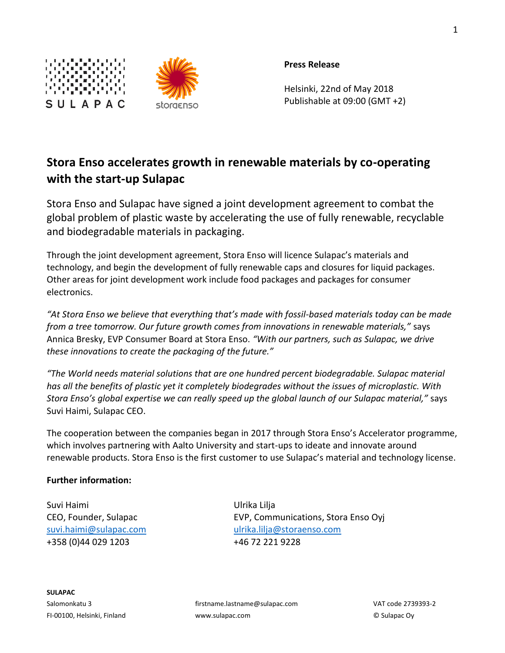



**Press Release**

Helsinki, 22nd of May 2018 Publishable at 09:00 (GMT +2)

## **Stora Enso accelerates growth in renewable materials by co-operating with the start-up Sulapac**

Stora Enso and Sulapac have signed a joint development agreement to combat the global problem of plastic waste by accelerating the use of fully renewable, recyclable and biodegradable materials in packaging.

Through the joint development agreement, Stora Enso will licence Sulapac's materials and technology, and begin the development of fully renewable caps and closures for liquid packages. Other areas for joint development work include food packages and packages for consumer electronics.

*"At Stora Enso we believe that everything that's made with fossil-based materials today can be made from a tree tomorrow. Our future growth comes from innovations in renewable materials,"* says Annica Bresky, EVP Consumer Board at Stora Enso. *"With our partners, such as Sulapac, we drive these innovations to create the packaging of the future."*

*"The World needs material solutions that are one hundred percent biodegradable. Sulapac material has all the benefits of plastic yet it completely biodegrades without the issues of microplastic. With Stora Enso's global expertise we can really speed up the global launch of our Sulapac material,"* says Suvi Haimi, Sulapac CEO.

The cooperation between the companies began in 2017 through Stora Enso's Accelerator programme, which involves partnering with Aalto University and start-ups to ideate and innovate around renewable products. Stora Enso is the first customer to use Sulapac's material and technology license.

## **Further information:**

Suvi Haimi Ulrika Lilja +358 (0)44 029 1203 +46 72 221 9228

CEO, Founder, Sulapac EVP, Communications, Stora Enso Oyj [suvi.haimi@sulapac.com](mailto:suvi.haimi@sulapac.com) [ulrika.lilja@storaenso.com](mailto:ulrika.lilja@storaenso.com)

Salomonkatu 3 firstname.lastname@sulapac.com VAT code 2739393-2 FI-00100, Helsinki, Finland www.sulapac.com © Sulapac Oy